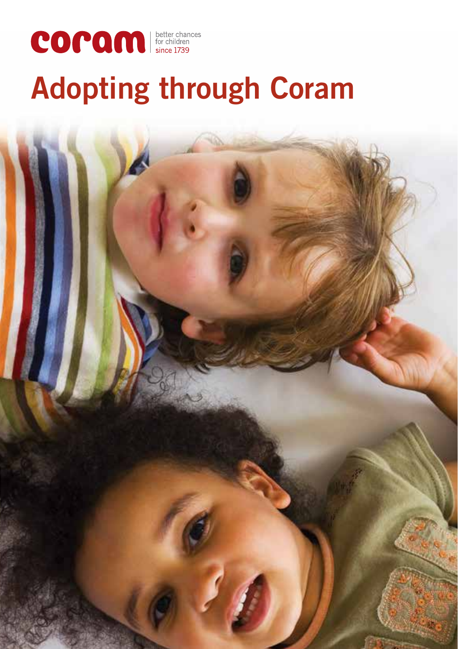

# **Adopting through Coram**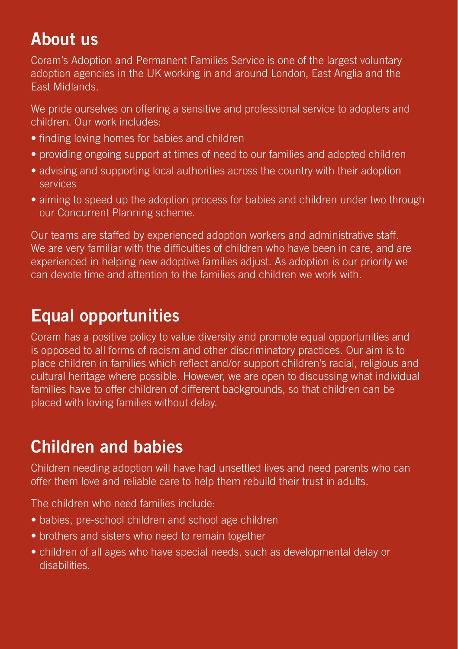### **About us**

Coram's Adoption and Permanent Families Service is one of the largest voluntary adoption agencies in the UK working in and around London, East Anglia and the East Midlands.

We pride ourselves on offering a sensitive and professional service to adopters and children. Our work includes:

- finding loving homes for babies and children
- providing ongoing support at times of need to our families and adopted children
- advising and supporting local authorities across the country with their adoption services
- aiming to speed up the adoption process for babies and children under two through our Concurrent Planning scheme.

Our teams are staffed by experienced adoption workers and administrative staff. We are very familiar with the difficulties of children who have been in care, and are experienced in helping new adoptive families adjust. As adoption is our priority we can devote time and attention to the families and children we work with.

### **Equal opportunities**

Coram has a positive policy to value diversity and promote equal opportunities and is opposed to all forms of racism and other discriminatory practices. Our aim is to place children in families which reflect and/or support children's racial, religious and cultural heritage where possible. However, we are open to discussing what individual families have to offer children of different backgrounds, so that children can be placed with loving families without delay.

### **Children and babies**

Children needing adoption will have had unsettled lives and need parents who can offer them love and reliable care to help them rebuild their trust in adults.

The children who need families include:

- babies, pre-school children and school age children
- brothers and sisters who need to remain together
- children of all ages who have special needs, such as developmental delay or disabilities.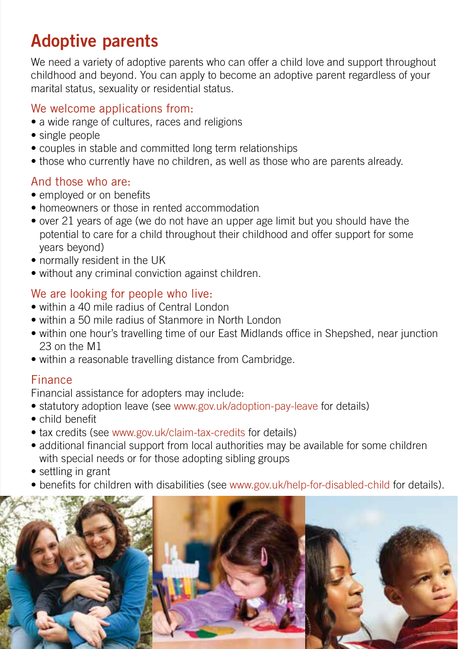### **Adoptive parents**

We need a variety of adoptive parents who can offer a child love and support throughout childhood and beyond. You can apply to become an adoptive parent regardless of your marital status, sexuality or residential status.

### We welcome applications from:

- a wide range of cultures, races and religions
- single people
- couples in stable and committed long term relationships
- those who currently have no children, as well as those who are parents already.

#### And those who are:

- employed or on benefits
- homeowners or those in rented accommodation
- over 21 years of age (we do not have an upper age limit but you should have the potential to care for a child throughout their childhood and offer support for some years beyond)
- normally resident in the UK
- without any criminal conviction against children.

#### We are looking for people who live:

- within a 40 mile radius of Central London
- within a 50 mile radius of Stanmore in North London
- within one hour's travelling time of our East Midlands office in Shepshed, near junction 23 on the M1
- within a reasonable travelling distance from Cambridge.

#### Finance

Financial assistance for adopters may include:

- statutory adoption leave (see www.gov.uk/adoption-pay-leave for details)
- child benefit
- tax credits (see www.gov.uk/claim-tax-credits for details)
- additional financial support from local authorities may be available for some children with special needs or for those adopting sibling groups
- settling in grant
- benefits for children with disabilities (see www.gov.uk/help-for-disabled-child for details).

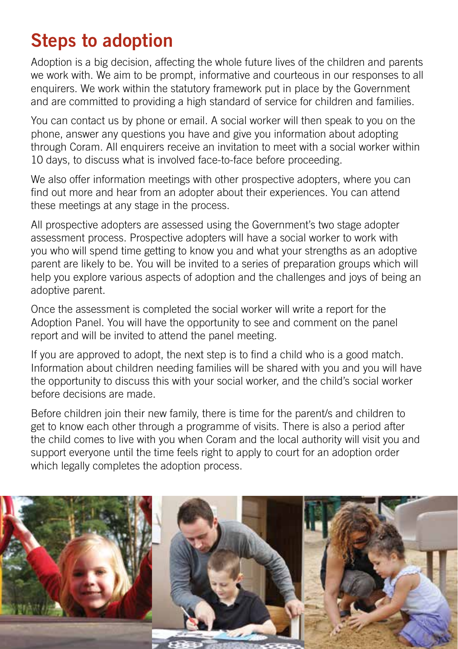## **Steps to adoption**

Adoption is a big decision, affecting the whole future lives of the children and parents we work with. We aim to be prompt, informative and courteous in our responses to all enquirers. We work within the statutory framework put in place by the Government and are committed to providing a high standard of service for children and families.

You can contact us by phone or email. A social worker will then speak to you on the phone, answer any questions you have and give you information about adopting through Coram. All enquirers receive an invitation to meet with a social worker within 10 days, to discuss what is involved face-to-face before proceeding.

We also offer information meetings with other prospective adopters, where you can find out more and hear from an adopter about their experiences. You can attend these meetings at any stage in the process.

All prospective adopters are assessed using the Government's two stage adopter assessment process. Prospective adopters will have a social worker to work with you who will spend time getting to know you and what your strengths as an adoptive parent are likely to be. You will be invited to a series of preparation groups which will help you explore various aspects of adoption and the challenges and joys of being an adoptive parent.

Once the assessment is completed the social worker will write a report for the Adoption Panel. You will have the opportunity to see and comment on the panel report and will be invited to attend the panel meeting.

If you are approved to adopt, the next step is to find a child who is a good match. Information about children needing families will be shared with you and you will have the opportunity to discuss this with your social worker, and the child's social worker before decisions are made.

Before children join their new family, there is time for the parent/s and children to get to know each other through a programme of visits. There is also a period after the child comes to live with you when Coram and the local authority will visit you and support everyone until the time feels right to apply to court for an adoption order which legally completes the adoption process.

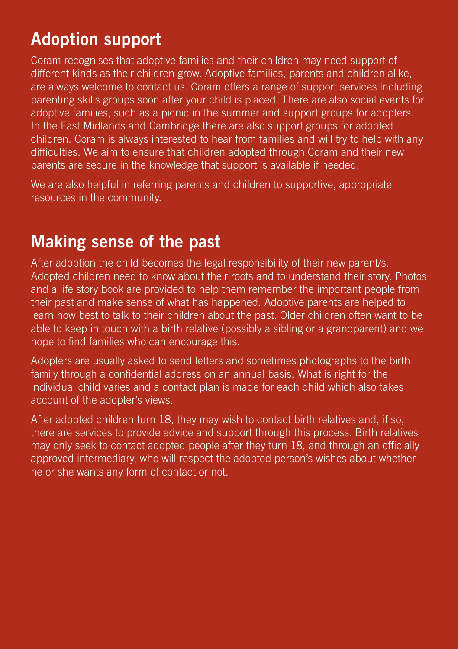### **Adoption support**

Coram recognises that adoptive families and their children may need support of different kinds as their children grow. Adoptive families, parents and children alike, are always welcome to contact us. Coram offers a range of support services including parenting skills groups soon after your child is placed. There are also social events for adoptive families, such as a picnic in the summer and support groups for adopters. In the East Midlands and Cambridge there are also support groups for adopted children. Coram is always interested to hear from families and will try to help with any difficulties. We aim to ensure that children adopted through Coram and their new parents are secure in the knowledge that support is available if needed.

We are also helpful in referring parents and children to supportive, appropriate resources in the community.

### **Making sense of the past**

After adoption the child becomes the legal responsibility of their new parent/s. Adopted children need to know about their roots and to understand their story. Photos and a life story book are provided to help them remember the important people from their past and make sense of what has happened. Adoptive parents are helped to learn how best to talk to their children about the past. Older children often want to be able to keep in touch with a birth relative (possibly a sibling or a grandparent) and we hope to find families who can encourage this.

Adopters are usually asked to send letters and sometimes photographs to the birth family through a confidential address on an annual basis. What is right for the individual child varies and a contact plan is made for each child which also takes account of the adopter's views.

After adopted children turn 18, they may wish to contact birth relatives and, if so, there are services to provide advice and support through this process. Birth relatives may only seek to contact adopted people after they turn 18, and through an officially approved intermediary, who will respect the adopted person's wishes about whether he or she wants any form of contact or not.